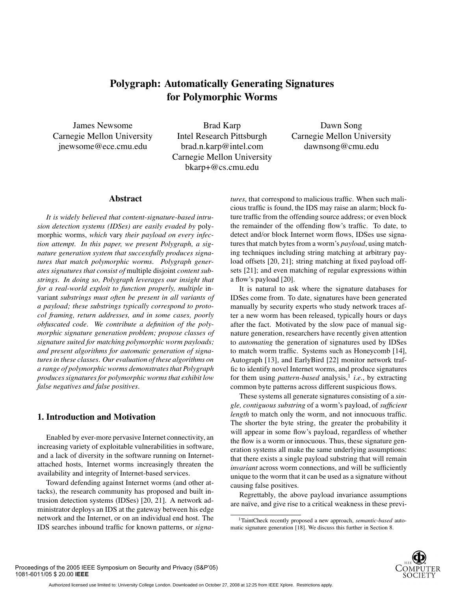# **Polygraph: Automatically Generating Signatures for Polymorphic Worms**

James Newsome Carnegie Mellon University jnewsome@ece.cmu.edu

Brad Karp Intel Research Pittsburgh brad.n.karp@intel.com Carnegie Mellon University bkarp+@cs.cmu.edu

Dawn Song Carnegie Mellon University dawnsong@cmu.edu

### **Abstract**

*It is widely believed that content-signature-based intrusion detection systems (IDSes) are easily evaded by* polymorphic worms, *which* vary *their payload on every infection attempt. In this paper, we present Polygraph, a signature generation system that successfully produces signatures that match polymorphic worms. Polygraph generates signatures that consist of* multiple disjoint *content substrings. In doing so, Polygraph leverages our insight that for a real-world exploit to function properly, multiple* invariant *substrings must often be present in all variants of a payload; these substrings typically correspond to protocol framing, return addresses, and in some cases, poorly obfuscated code. We contribute a definition of the polymorphic signature generation problem; propose classes of signature suited for matching polymorphic worm payloads; and present algorithms for automatic generation of signatures in these classes. Our evaluation of these algorithms on a range of polymorphic worms demonstrates that Polygraph produces signatures for polymorphic worms that exhibit low false negatives and false positives.*

# **1. Introduction and Motivation**

Enabled by ever-more pervasive Internet connectivity, an increasing variety of exploitable vulnerabilities in software, and a lack of diversity in the software running on Internetattached hosts, Internet worms increasingly threaten the availability and integrity of Internet-based services.

Toward defending against Internet worms (and other attacks), the research community has proposed and built intrusion detection systems (IDSes) [20, 21]. A network administrator deploys an IDS at the gateway between his edge network and the Internet, or on an individual end host. The IDS searches inbound traffic for known patterns, or *signa-* *tures,* that correspond to malicious traffic. When such malicious traffic is found, the IDS may raise an alarm; block future traffic from the offending source address; or even block the remainder of the offending flow's traffic. To date, to detect and/or block Internet worm flows, IDSes use signatures that match bytes from a worm's *payload*, using matching techniques including string matching at arbitrary payload offsets [20, 21]; string matching at fixed payload offsets [21]; and even matching of regular expressions within a flow's payload [20].

It is natural to ask where the signature databases for IDSes come from. To date, signatures have been generated manually by security experts who study network traces after a new worm has been released, typically hours or days after the fact. Motivated by the slow pace of manual signature generation, researchers have recently given attention to *automating* the generation of signatures used by IDSes to match worm traffic. Systems such as Honeycomb [14], Autograph [13], and EarlyBird [22] monitor network traffic to identify novel Internet worms, and produce signatures for them using *pattern-based* analysis,<sup>1</sup> *i.e.*, by extracting common byte patterns across different suspicious flows.

These systems all generate signatures consisting of a *single, contiguous substring* of a worm's payload, of *sufficient length* to match only the worm, and not innocuous traffic. The shorter the byte string, the greater the probability it will appear in some flow's payload, regardless of whether the flow is a worm or innocuous. Thus, these signature generation systems all make the same underlying assumptions: that there exists a single payload substring that will remain *invariant* across worm connections, and will be sufficiently unique to the worm that it can be used as a signature without causing false positives.

Regrettably, the above payload invariance assumptions are naïve, and give rise to a critical weakness in these previ-

<sup>1</sup>TaintCheck recently proposed a new approach, *semantic-based* automatic signature generation [18]. We discuss this further in Section 8.

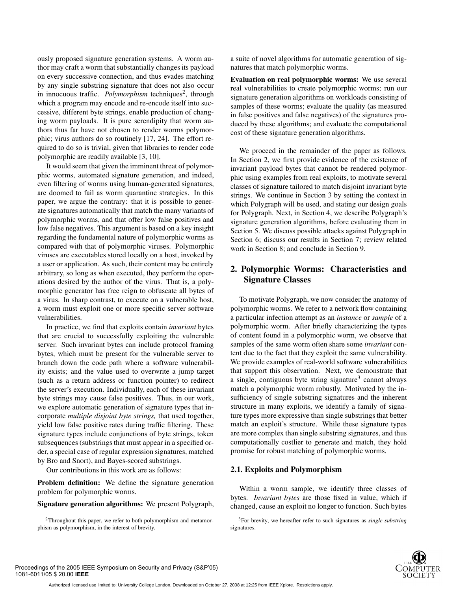ously proposed signature generation systems. A worm author may craft a worm that substantially changes its payload on every successive connection, and thus evades matching by any single substring signature that does not also occur in innocuous traffic. *Polymorphism* techniques<sup>2</sup>, through which a program may encode and re-encode itself into successive, different byte strings, enable production of changing worm payloads. It is pure serendipity that worm authors thus far have not chosen to render worms polymorphic; virus authors do so routinely [17, 24]. The effort required to do so is trivial, given that libraries to render code polymorphic are readily available [3, 10].

It would seem that given the imminent threat of polymorphic worms, automated signature generation, and indeed, even filtering of worms using human-generated signatures, are doomed to fail as worm quarantine strategies. In this paper, we argue the contrary: that it is possible to generate signatures automatically that match the many variants of polymorphic worms, and that offer low false positives and low false negatives. This argument is based on a key insight regarding the fundamental nature of polymorphic worms as compared with that of polymorphic viruses. Polymorphic viruses are executables stored locally on a host, invoked by a user or application. As such, their content may be entirely arbitrary, so long as when executed, they perform the operations desired by the author of the virus. That is, a polymorphic generator has free reign to obfuscate all bytes of a virus. In sharp contrast, to execute on a vulnerable host, a worm must exploit one or more specific server software vulnerabilities.

In practice, we find that exploits contain *invariant* bytes that are crucial to successfully exploiting the vulnerable server. Such invariant bytes can include protocol framing bytes, which must be present for the vulnerable server to branch down the code path where a software vulnerability exists; and the value used to overwrite a jump target (such as a return address or function pointer) to redirect the server's execution. Individually, each of these invariant byte strings may cause false positives. Thus, in our work, we explore automatic generation of signature types that incorporate *multiple disjoint byte strings,* that used together, yield low false positive rates during traffic filtering. These signature types include conjunctions of byte strings, token subsequences (substrings that must appear in a specified order, a special case of regular expression signatures, matched by Bro and Snort), and Bayes-scored substrings.

Our contributions in this work are as follows:

**Problem definition:** We define the signature generation problem for polymorphic worms.

**Signature generation algorithms:** We present Polygraph,

a suite of novel algorithms for automatic generation of signatures that match polymorphic worms.

**Evaluation on real polymorphic worms:** We use several real vulnerabilities to create polymorphic worms; run our signature generation algorithms on workloads consisting of samples of these worms; evaluate the quality (as measured in false positives and false negatives) of the signatures produced by these algorithms; and evaluate the computational cost of these signature generation algorithms.

We proceed in the remainder of the paper as follows. In Section 2, we first provide evidence of the existence of invariant payload bytes that cannot be rendered polymorphic using examples from real exploits, to motivate several classes of signature tailored to match disjoint invariant byte strings. We continue in Section 3 by setting the context in which Polygraph will be used, and stating our design goals for Polygraph. Next, in Section 4, we describe Polygraph's signature generation algorithms, before evaluating them in Section 5. We discuss possible attacks against Polygraph in Section 6; discuss our results in Section 7; review related work in Section 8; and conclude in Section 9.

# **2. Polymorphic Worms: Characteristics and Signature Classes**

To motivate Polygraph, we now consider the anatomy of polymorphic worms. We refer to a network flow containing a particular infection attempt as an *instance* or *sample* of a polymorphic worm. After briefly characterizing the types of content found in a polymorphic worm, we observe that samples of the same worm often share some *invariant* content due to the fact that they exploit the same vulnerability. We provide examples of real-world software vulnerabilities that support this observation. Next, we demonstrate that a single, contiguous byte string signature<sup>3</sup> cannot always match a polymorphic worm robustly. Motivated by the insufficiency of single substring signatures and the inherent structure in many exploits, we identify a family of signature types more expressive than single substrings that better match an exploit's structure. While these signature types are more complex than single substring signatures, and thus computationally costlier to generate and match, they hold promise for robust matching of polymorphic worms.

# **2.1. Exploits and Polymorphism**

Within a worm sample, we identify three classes of bytes. *Invariant bytes* are those fixed in value, which if changed, cause an exploit no longer to function. Such bytes

<sup>3</sup>For brevity, we hereafter refer to such signatures as *single substring* signatures.



<sup>&</sup>lt;sup>2</sup>Throughout this paper, we refer to both polymorphism and metamorphism as polymorphism, in the interest of brevity.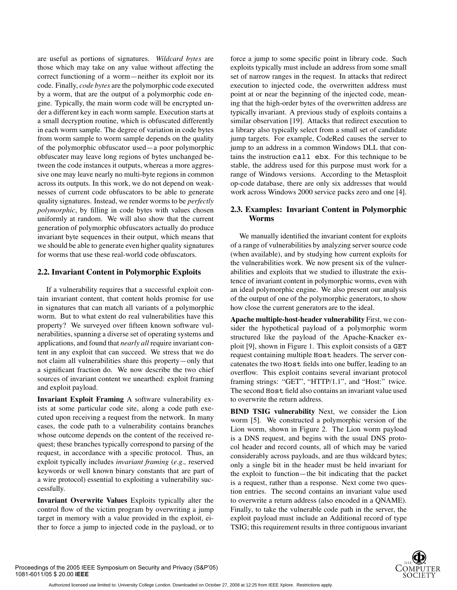are useful as portions of signatures. *Wildcard bytes* are those which may take on any value without affecting the correct functioning of a worm—neither its exploit nor its code. Finally, *code bytes* are the polymorphic code executed by a worm, that are the output of a polymorphic code engine. Typically, the main worm code will be encrypted under a different key in each worm sample. Execution starts at a small decryption routine, which is obfuscated differently in each worm sample. The degree of variation in code bytes from worm sample to worm sample depends on the quality of the polymorphic obfuscator used—a poor polymorphic obfuscater may leave long regions of bytes unchanged between the code instances it outputs, whereas a more aggressive one may leave nearly no multi-byte regions in common across its outputs. In this work, we do not depend on weaknesses of current code obfuscators to be able to generate quality signatures. Instead, we render worms to be *perfectly polymorphic*, by filling in code bytes with values chosen uniformly at random. We will also show that the current generation of polymorphic obfuscators actually do produce invariant byte sequences in their output, which means that we should be able to generate even higher quality signatures for worms that use these real-world code obfuscators.

#### **2.2. Invariant Content in Polymorphic Exploits**

If a vulnerability requires that a successful exploit contain invariant content, that content holds promise for use in signatures that can match all variants of a polymorphic worm. But to what extent do real vulnerabilities have this property? We surveyed over fifteen known software vulnerabilities, spanning a diverse set of operating systems and applications, and found that *nearly all* require invariant content in any exploit that can succeed. We stress that we do not claim all vulnerabilities share this property—only that a significant fraction do. We now describe the two chief sources of invariant content we unearthed: exploit framing and exploit payload.

**Invariant Exploit Framing** A software vulnerability exists at some particular code site, along a code path executed upon receiving a request from the network. In many cases, the code path to a vulnerability contains branches whose outcome depends on the content of the received request; these branches typically correspond to parsing of the request, in accordance with a specific protocol. Thus, an exploit typically includes *invariant framing* (*e.g.,* reserved keywords or well known binary constants that are part of a wire protocol) essential to exploiting a vulnerability successfully.

**Invariant Overwrite Values** Exploits typically alter the control flow of the victim program by overwriting a jump target in memory with a value provided in the exploit, either to force a jump to injected code in the payload, or to

force a jump to some specific point in library code. Such exploits typically must include an address from some small set of narrow ranges in the request. In attacks that redirect execution to injected code, the overwritten address must point at or near the beginning of the injected code, meaning that the high-order bytes of the overwritten address are typically invariant. A previous study of exploits contains a similar observation [19]. Attacks that redirect execution to a library also typically select from a small set of candidate jump targets. For example, CodeRed causes the server to jump to an address in a common Windows DLL that contains the instruction call ebx. For this technique to be stable, the address used for this purpose must work for a range of Windows versions. According to the Metasploit op-code database, there are only six addresses that would work across Windows 2000 service packs zero and one [4].

# **2.3. Examples: Invariant Content in Polymorphic Worms**

We manually identified the invariant content for exploits of a range of vulnerabilities by analyzing server source code (when available), and by studying how current exploits for the vulnerabilities work. We now present six of the vulnerabilities and exploits that we studied to illustrate the existence of invariant content in polymorphic worms, even with an ideal polymorphic engine. We also present our analysis of the output of one of the polymorphic generators, to show how close the current generators are to the ideal.

**Apache multiple-host-header vulnerability** First, we consider the hypothetical payload of a polymorphic worm structured like the payload of the Apache-Knacker exploit [9], shown in Figure 1. This exploit consists of a GET request containing multiple Host headers. The server concatenates the two Host fields into one buffer, leading to an overflow. This exploit contains several invariant protocol framing strings: "GET", "HTTP/1.1", and "Host:" twice. The second Host field also contains an invariant value used to overwrite the return address.

**BIND TSIG vulnerability** Next, we consider the Lion worm [5]. We constructed a polymorphic version of the Lion worm, shown in Figure 2. The Lion worm payload is a DNS request, and begins with the usual DNS protocol header and record counts, all of which may be varied considerably across payloads, and are thus wildcard bytes; only a single bit in the header must be held invariant for the exploit to function—the bit indicating that the packet is a request, rather than a response. Next come two question entries. The second contains an invariant value used to overwrite a return address (also encoded in a QNAME). Finally, to take the vulnerable code path in the server, the exploit payload must include an Additional record of type TSIG; this requirement results in three contiguous invariant

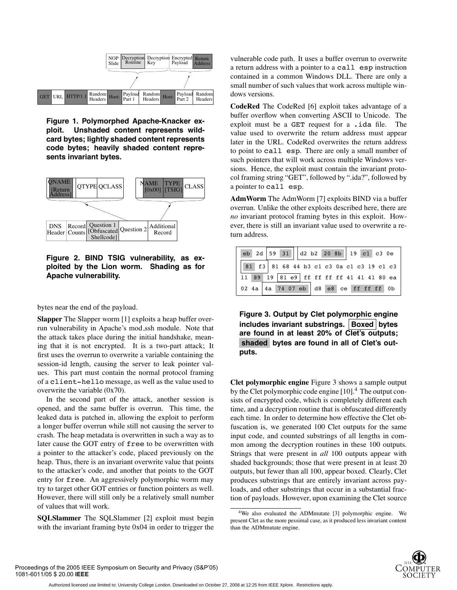

**Figure 1. Polymorphed Apache-Knacker exploit. Unshaded content represents wildcard bytes; lightly shaded content represents code bytes; heavily shaded content represents invariant bytes.**



**Figure 2. BIND TSIG vulnerability, as exploited by the Lion worm. Shading as for Apache vulnerability.**

bytes near the end of the payload.

**Slapper** The Slapper worm [1] exploits a heap buffer overrun vulnerability in Apache's mod ssh module. Note that the attack takes place during the initial handshake, meaning that it is not encrypted. It is a two-part attack; It first uses the overrun to overwrite a variable containing the session-id length, causing the server to leak pointer values. This part must contain the normal protocol framing of a client-hello message, as well as the value used to overwrite the variable (0x70).

In the second part of the attack, another session is opened, and the same buffer is overrun. This time, the leaked data is patched in, allowing the exploit to perform a longer buffer overrun while still not causing the server to crash. The heap metadata is overwritten in such a way as to later cause the GOT entry of free to be overwritten with a pointer to the attacker's code, placed previously on the heap. Thus, there is an invariant overwrite value that points to the attacker's code, and another that points to the GOT entry for free. An aggressively polymorphic worm may try to target other GOT entries or function pointers as well. However, there will still only be a relatively small number of values that will work.

**SQLSlammer** The SQLSlammer [2] exploit must begin with the invariant framing byte 0x04 in order to trigger the

vulnerable code path. It uses a buffer overrun to overwrite a return address with a pointer to a call esp instruction contained in a common Windows DLL. There are only a small number of such values that work across multiple windows versions.

**CodeRed** The CodeRed [6] exploit takes advantage of a buffer overflow when converting ASCII to Unicode. The exploit must be a GET request for a .ida file. The value used to overwrite the return address must appear later in the URL. CodeRed overwrites the return address to point to call esp. There are only a small number of such pointers that will work across multiple Windows versions. Hence, the exploit must contain the invariant protocol framing string "GET", followed by ".ida?", followed by a pointer to call esp.

**AdmWorm** The AdmWorm [7] exploits BIND via a buffer overrun. Unlike the other exploits described here, there are *no* invariant protocol framing bytes in this exploit. However, there is still an invariant value used to overwrite a return address.

|  |  | eb 2d 59 31 $ d2 b2 20 8b  19 c1 c3 0e$   |
|--|--|-------------------------------------------|
|  |  | 81 f3 81 68 44 b3 c1 c3 0a c1 c3 19 c1 c3 |
|  |  | 11 89 19 81 e9 ff ff ff ff 41 41 41 80 ea |
|  |  | 02 4a 4a 74 07 eb d8 e8 ce ff ff ff 0b    |

**Figure 3. Output by Clet polymorphic engine includes invariant substrings. Boxed bytes are found in at least 20% of Clet's outputs; shaded bytes are found in all of Clet's outputs.**

**Clet polymorphic engine** Figure 3 shows a sample output by the Clet polymorphic code engine  $[10]<sup>4</sup>$ . The output consists of encrypted code, which is completely different each time, and a decryption routine that is obfuscated differently each time. In order to determine how effective the Clet obfuscation is, we generated 100 Clet outputs for the same input code, and counted substrings of all lengths in common among the decryption routines in these 100 outputs. Strings that were present in *all* 100 outputs appear with shaded backgrounds; those that were present in at least 20 outputs, but fewer than all 100, appear boxed. Clearly, Clet produces substrings that are entirely invariant across payloads, and other substrings that occur in a substantial fraction of payloads. However, upon examining the Clet source

<sup>4</sup>We also evaluated the ADMmutate [3] polymorphic engine. We present Clet as the more pessimal case, as it produced less invariant content than the ADMmutate engine.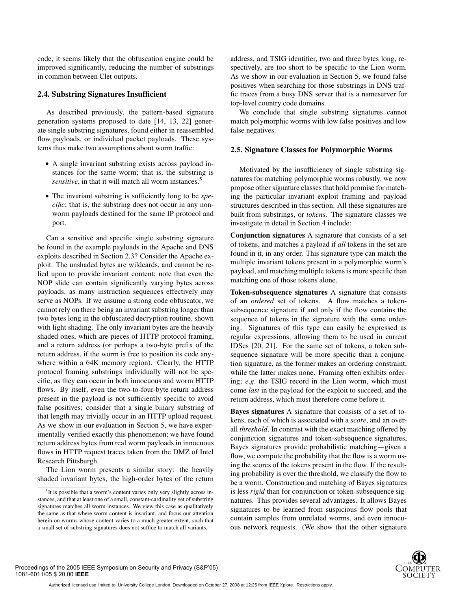code, it seems likely that the obfuscation engine could be improved significantly, reducing the number of substrings in common between Clet outputs.

#### **2.4. Substring Signatures Insufficient**

As described previously, the pattern-based signature generation systems proposed to date [14, 13, 22] generate single substring signatures, found either in reassembled flow payloads, or individual packet payloads. These systems thus make two assumptions about worm traffic:

- A single invariant substring exists across payload instances for the same worm; that is, the substring is *sensitive*, in that it will match all worm instances.<sup>5</sup>
- The invariant substring is sufficiently long to be *specific*; that is, the substring does not occur in any nonworm payloads destined for the same IP protocol and port.

Can a sensitive and specific single substring signature be found in the example payloads in the Apache and DNS exploits described in Section 2.3? Consider the Apache exploit. The unshaded bytes are wildcards, and cannot be relied upon to provide invariant content; note that even the NOP slide can contain significantly varying bytes across payloads, as many instruction sequences effectively may serve as NOPs. If we assume a strong code obfuscator, we cannot rely on there being an invariant substring longer than two bytes long in the obfuscated decryption routine, shown with light shading. The only invariant bytes are the heavily shaded ones, which are pieces of HTTP protocol framing, and a return address (or perhaps a two-byte prefix of the return address, if the worm is free to position its code anywhere within a 64K memory region). Clearly, the HTTP protocol framing substrings individually will not be specific, as they can occur in both innocuous and worm HTTP flows. By itself, even the two-to-four-byte return address present in the payload is not sufficiently specific to avoid false positives; consider that a single binary substring of that length may trivially occur in an HTTP upload request. As we show in our evaluation in Section 5, we have experimentally verified exactly this phenomenon; we have found return address bytes from real worm payloads in innocuous flows in HTTP request traces taken from the DMZ of Intel Research Pittsburgh.

The Lion worm presents a similar story: the heavily shaded invariant bytes, the high-order bytes of the return address, and TSIG identifier, two and three bytes long, respectively, are too short to be specific to the Lion worm. As we show in our evaluation in Section 5, we found false positives when searching for those substrings in DNS traffic traces from a busy DNS server that is a nameserver for top-level country code domains.

We conclude that single substring signatures cannot match polymorphic worms with low false positives and low false negatives.

#### **2.5. Signature Classes for Polymorphic Worms**

Motivated by the insufficiency of single substring signatures for matching polymorphic worms robustly, we now propose other signature classes that hold promise for matching the particular invariant exploit framing and payload structures described in this section. All these signatures are built from substrings, or *tokens*. The signature classes we investigate in detail in Section 4 include:

**Conjunction signatures** A signature that consists of a set of tokens, and matches a payload if *all* tokens in the set are found in it, in any order. This signature type can match the multiple invariant tokens present in a polymorphic worm's payload, and matching multiple tokens is more specific than matching one of those tokens alone.

**Token-subsequence signatures** A signature that consists of an *ordered* set of tokens. A flow matches a tokensubsequence signature if and only if the flow contains the sequence of tokens in the signature with the same ordering. Signatures of this type can easily be expressed as regular expressions, allowing them to be used in current IDSes [20, 21]. For the same set of tokens, a token subsequence signature will be more specific than a conjunction signature, as the former makes an ordering constraint, while the latter makes none. Framing often exhibits ordering; *e.g.* the TSIG record in the Lion worm, which must come *last* in the payload for the exploit to succeed, and the return address, which must therefore come before it.

**Bayes signatures** A signature that consists of a set of tokens, each of which is associated with a *score*, and an overall *threshold.* In contrast with the exact matching offered by conjunction signatures and token-subsequence signatures, Bayes signatures provide probabilistic matching—given a flow, we compute the probability that the flow is a worm using the scores of the tokens present in the flow. If the resulting probability is over the threshold, we classify the flow to be a worm. Construction and matching of Bayes signatures is less *rigid* than for conjunction or token-subsequence signatures. This provides several advantages. It allows Bayes signatures to be learned from suspicious flow pools that contain samples from unrelated worms, and even innocuous network requests. (We show that the other signature



<sup>&</sup>lt;sup>5</sup>It is possible that a worm's content varies only very slightly across instances, and that at least one of a small, constant-cardinality set of substring signatures matches all worm instances. We view this case as qualitatively the same as that where worm content is invariant, and focus our attention herein on worms whose content varies to a much greater extent, such that a small set of substring signatures does not suffice to match all variants.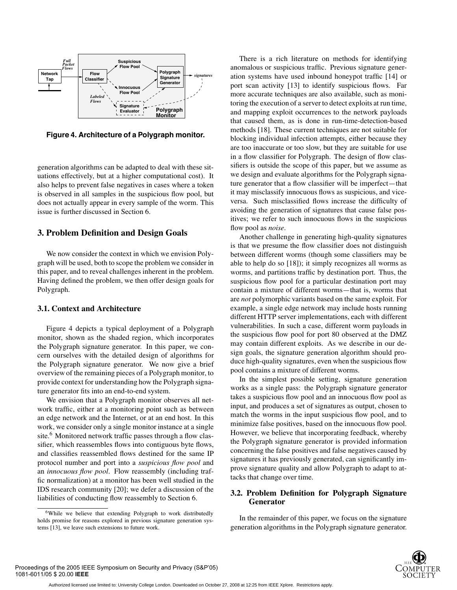

**Figure 4. Architecture of a Polygraph monitor.**

generation algorithms can be adapted to deal with these situations effectively, but at a higher computational cost). It also helps to prevent false negatives in cases where a token is observed in all samples in the suspicious flow pool, but does not actually appear in every sample of the worm. This issue is further discussed in Section 6.

# **3. Problem Definition and Design Goals**

We now consider the context in which we envision Polygraph will be used, both to scope the problem we consider in this paper, and to reveal challenges inherent in the problem. Having defined the problem, we then offer design goals for Polygraph.

### **3.1. Context and Architecture**

Figure 4 depicts a typical deployment of a Polygraph monitor, shown as the shaded region, which incorporates the Polygraph signature generator. In this paper, we concern ourselves with the detailed design of algorithms for the Polygraph signature generator. We now give a brief overview of the remaining pieces of a Polygraph monitor, to provide context for understanding how the Polygraph signature generator fits into an end-to-end system.

We envision that a Polygraph monitor observes all network traffic, either at a monitoring point such as between an edge network and the Internet, or at an end host. In this work, we consider only a single monitor instance at a single site.<sup>6</sup> Monitored network traffic passes through a flow classifier, which reassembles flows into contiguous byte flows, and classifies reassembled flows destined for the same IP protocol number and port into a *suspicious flow pool* and an *innocuous flow pool*. Flow reassembly (including traffic normalization) at a monitor has been well studied in the IDS research community [20]; we defer a discussion of the liabilities of conducting flow reassembly to Section 6.

There is a rich literature on methods for identifying anomalous or suspicious traffic. Previous signature generation systems have used inbound honeypot traffic [14] or port scan activity [13] to identify suspicious flows. Far more accurate techniques are also available, such as monitoring the execution of a server to detect exploits at run time, and mapping exploit occurrences to the network payloads that caused them, as is done in run-time-detection-based methods [18]. These current techniques are not suitable for blocking individual infection attempts, either because they are too inaccurate or too slow, but they are suitable for use in a flow classifier for Polygraph. The design of flow classifiers is outside the scope of this paper, but we assume as we design and evaluate algorithms for the Polygraph signature generator that a flow classifier will be imperfect—that it may misclassify innocuous flows as suspicious, and viceversa. Such misclassified flows increase the difficulty of avoiding the generation of signatures that cause false positives; we refer to such innocuous flows in the suspicious flow pool as *noise.*

Another challenge in generating high-quality signatures is that we presume the flow classifier does not distinguish between different worms (though some classifiers may be able to help do so [18]); it simply recognizes all worms as worms, and partitions traffic by destination port. Thus, the suspicious flow pool for a particular destination port may contain a mixture of different worms—that is, worms that are *not* polymorphic variants based on the same exploit. For example, a single edge network may include hosts running different HTTP server implementations, each with different vulnerabilities. In such a case, different worm payloads in the suspicious flow pool for port 80 observed at the DMZ may contain different exploits. As we describe in our design goals, the signature generation algorithm should produce high-quality signatures, even when the suspicious flow pool contains a mixture of different worms.

In the simplest possible setting, signature generation works as a single pass: the Polygraph signature generator takes a suspicious flow pool and an innocuous flow pool as input, and produces a set of signatures as output, chosen to match the worms in the input suspicious flow pool, and to minimize false positives, based on the innocuous flow pool. However, we believe that incorporating feedback, whereby the Polygraph signature generator is provided information concerning the false positives and false negatives caused by signatures it has previously generated, can significantly improve signature quality and allow Polygraph to adapt to attacks that change over time.

# **3.2. Problem Definition for Polygraph Signature Generator**

In the remainder of this paper, we focus on the signature generation algorithms in the Polygraph signature generator.



<sup>&</sup>lt;sup>6</sup>While we believe that extending Polygraph to work distributedly holds promise for reasons explored in previous signature generation systems [13], we leave such extensions to future work.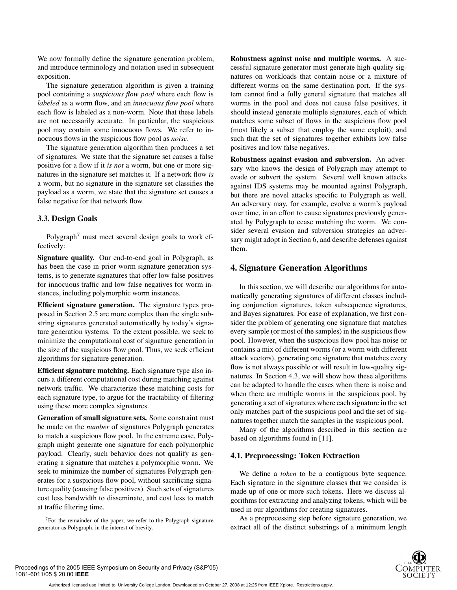We now formally define the signature generation problem, and introduce terminology and notation used in subsequent exposition.

The signature generation algorithm is given a training pool containing a *suspicious flow pool* where each flow is *labeled* as a worm flow, and an *innocuous flow pool* where each flow is labeled as a non-worm. Note that these labels are not necessarily accurate. In particular, the suspicious pool may contain some innocuous flows. We refer to innocuous flows in the suspicious flow pool as *noise*.

The signature generation algorithm then produces a set of signatures. We state that the signature set causes a false positive for a flow if it *is not* a worm, but one or more signatures in the signature set matches it. If a network flow *is* a worm, but no signature in the signature set classifies the payload as a worm, we state that the signature set causes a false negative for that network flow.

#### **3.3. Design Goals**

Polygraph<sup>7</sup> must meet several design goals to work effectively:

**Signature quality.** Our end-to-end goal in Polygraph, as has been the case in prior worm signature generation systems, is to generate signatures that offer low false positives for innocuous traffic and low false negatives for worm instances, including polymorphic worm instances.

**Efficient signature generation.** The signature types proposed in Section 2.5 are more complex than the single substring signatures generated automatically by today's signature generation systems. To the extent possible, we seek to minimize the computational cost of signature generation in the size of the suspicious flow pool. Thus, we seek efficient algorithms for signature generation.

**Efficient signature matching.** Each signature type also incurs a different computational cost during matching against network traffic. We characterize these matching costs for each signature type, to argue for the tractability of filtering using these more complex signatures.

**Generation of small signature sets.** Some constraint must be made on the *number* of signatures Polygraph generates to match a suspicious flow pool. In the extreme case, Polygraph might generate one signature for each polymorphic payload. Clearly, such behavior does not qualify as generating a signature that matches a polymorphic worm. We seek to minimize the number of signatures Polygraph generates for a suspicious flow pool, without sacrificing signature quality (causing false positives). Such sets of signatures cost less bandwidth to disseminate, and cost less to match at traffic filtering time.

 $7$ For the remainder of the paper, we refer to the Polygraph signature generator as Polygraph, in the interest of brevity.

**Robustness against noise and multiple worms.** A successful signature generator must generate high-quality signatures on workloads that contain noise or a mixture of different worms on the same destination port. If the system cannot find a fully general signature that matches all worms in the pool and does not cause false positives, it should instead generate multiple signatures, each of which matches some subset of flows in the suspicious flow pool (most likely a subset that employ the same exploit), and such that the set of signatures together exhibits low false positives and low false negatives.

**Robustness against evasion and subversion.** An adversary who knows the design of Polygraph may attempt to evade or subvert the system. Several well known attacks against IDS systems may be mounted against Polygraph, but there are novel attacks specific to Polygraph as well. An adversary may, for example, evolve a worm's payload over time, in an effort to cause signatures previously generated by Polygraph to cease matching the worm. We consider several evasion and subversion strategies an adversary might adopt in Section 6, and describe defenses against them.

## **4. Signature Generation Algorithms**

In this section, we will describe our algorithms for automatically generating signatures of different classes including conjunction signatures, token subsequence signatures, and Bayes signatures. For ease of explanation, we first consider the problem of generating one signature that matches every sample (or most of the samples) in the suspicious flow pool. However, when the suspicious flow pool has noise or contains a mix of different worms (or a worm with different attack vectors), generating one signature that matches every flow is not always possible or will result in low-quality signatures. In Section 4.3, we will show how these algorithms can be adapted to handle the cases when there is noise and when there are multiple worms in the suspicious pool, by generating a set of signatures where each signature in the set only matches part of the suspicious pool and the set of signatures together match the samples in the suspicious pool.

Many of the algorithms described in this section are based on algorithms found in [11].

#### **4.1. Preprocessing: Token Extraction**

We define a *token* to be a contiguous byte sequence. Each signature in the signature classes that we consider is made up of one or more such tokens. Here we discuss algorithms for extracting and analyzing tokens, which will be used in our algorithms for creating signatures.

As a preprocessing step before signature generation, we extract all of the distinct substrings of a minimum length

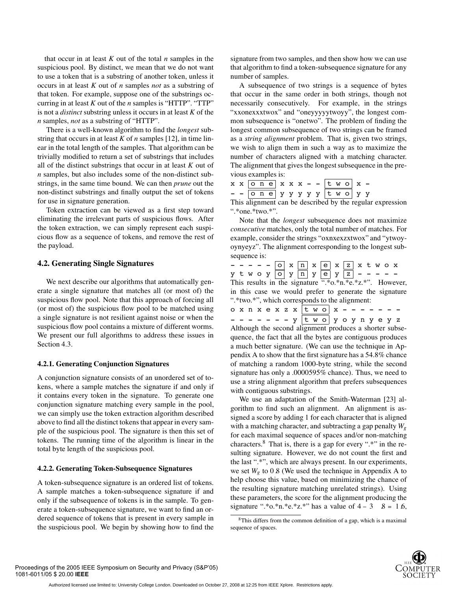that occur in at least *K* out of the total *n* samples in the suspicious pool. By distinct, we mean that we do not want to use a token that is a substring of another token, unless it occurs in at least *K* out of *n* samples *not* as a substring of that token. For example, suppose one of the substrings occurring in at least *K* out of the *n* samples is "HTTP". "TTP" is not a *distinct* substring unless it occurs in at least *K* of the *n* samples, *not* as a substring of "HTTP".

There is a well-known algorithm to find the *longest* substring that occurs in at least *K* of *n* samples [12], in time linear in the total length of the samples. That algorithm can be trivially modified to return a set of substrings that includes all of the distinct substrings that occur in at least *K* out of *n* samples, but also includes some of the non-distinct substrings, in the same time bound. We can then *prune* out the non-distinct substrings and finally output the set of tokens for use in signature generation.

Token extraction can be viewed as a first step toward eliminating the irrelevant parts of suspicious flows. After the token extraction, we can simply represent each suspicious flow as a sequence of tokens, and remove the rest of the payload.

#### **4.2. Generating Single Signatures**

We next describe our algorithms that automatically generate a single signature that matches all (or most of) the suspicious flow pool. Note that this approach of forcing all (or most of) the suspicious flow pool to be matched using a single signature is not resilient against noise or when the suspicious flow pool contains a mixture of different worms. We present our full algorithms to address these issues in Section 4.3.

#### **4.2.1. Generating Conjunction Signatures**

A conjunction signature consists of an unordered set of tokens, where a sample matches the signature if and only if it contains every token in the signature. To generate one conjunction signature matching every sample in the pool, we can simply use the token extraction algorithm described above to find all the distinct tokens that appear in every sample of the suspicious pool. The signature is then this set of tokens. The running time of the algorithm is linear in the total byte length of the suspicious pool.

#### **4.2.2. Generating Token-Subsequence Signatures**

A token-subsequence signature is an ordered list of tokens. A sample matches a token-subsequence signature if and only if the subsequence of tokens is in the sample. To generate a token-subsequence signature, we want to find an ordered sequence of tokens that is present in every sample in the suspicious pool. We begin by showing how to find the signature from two samples, and then show how we can use that algorithm to find a token-subsequence signature for any number of samples.

A subsequence of two strings is a sequence of bytes that occur in the same order in both strings, though not necessarily consecutively. For example, in the strings "xxonexxxtwox" and "oneyyyyytwoyy", the longest common subsequence is "onetwo". The problem of finding the longest common subsequence of two strings can be framed as a *string alignment* problem. That is, given two strings, we wish to align them in such a way as to maximize the number of characters aligned with a matching character. The alignment that gives the longest subsequence in the previous examples is:

|  |  |  |  |  |  | $x \times 0$ n e $x \times x$ - - t w o $x$ - |                                                           |  |
|--|--|--|--|--|--|-----------------------------------------------|-----------------------------------------------------------|--|
|  |  |  |  |  |  | - - one y y y y y t wo y y                    |                                                           |  |
|  |  |  |  |  |  |                                               | This alignment can be described by the regular expression |  |

".\*one.\*two.\*".

with contiguous substrings.

Note that the *longest* subsequence does not maximize *consecutive* matches, only the total number of matches. For example, consider the strings "oxnxexzxtwox" and "ytwoyoynyeyz". The alignment corresponding to the longest subsequence is:

- - - - - o x n x e x z x t w o x  $y$  t w o y o y n y n y e y z - - - - -This results in the signature  $\overline{``.}^{\ast}$ o.\*n. $\overline{.*}$ e.\*z.\*". However, in this case we would prefer to generate the signature ".\*two.\*", which corresponds to the alignment: o x n x e x z x t w o x - - - - - - -- - - - - - y two yoynyeyz Although the second alignment produces a shorter subsequence, the fact that all the bytes are contiguous produces a much better signature. (We can use the technique in Appendix A to show that the first signature has a 54.8% chance of matching a random 1000-byte string, while the second signature has only a .0000595% chance). Thus, we need to use a string alignment algorithm that prefers subsequences

We use an adaptation of the Smith-Waterman [23] algorithm to find such an alignment. An alignment is assigned a score by adding 1 for each character that is aligned with a matching character, and subtracting a gap penalty *Wg* for each maximal sequence of spaces and/or non-matching characters.<sup>8</sup> That is, there is a gap for every ".\*" in the resulting signature. However, we do not count the first and the last ".\*", which are always present. In our experiments, we set  $W_g$  to 0.8 (We used the technique in Appendix A to help choose this value, based on minimizing the chance of the resulting signature matching unrelated strings). Using these parameters, the score for the alignment producing the signature ".\*o.\*n.\*e.\*z.\*" has a value of  $4 - 3$  .  $8 = 1.6$ ,

<sup>8</sup>This differs from the common definition of a gap, which is a maximal sequence of spaces.

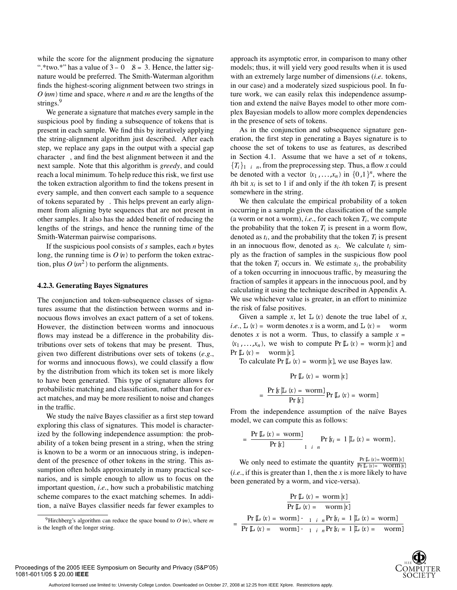while the score for the alignment producing the signature ".\*two.\*" has a value of  $3-0$  .  $8 = 3$ . Hence, the latter signature would be preferred. The Smith-Waterman algorithm finds the highest-scoring alignment between two strings in  $O$   $(nm)$  time and space, where *n* and *m* are the lengths of the strings.<sup>9</sup>

We generate a signature that matches every sample in the suspicious pool by finding a subsequence of tokens that is present in each sample. We find this by iteratively applying the string-alignment algorithm just described. After each step, we replace any gaps in the output with a special gap character , and find the best alignment between it and the next sample. Note that this algorithm is *greedy*, and could reach a local minimum. To help reduce this risk, we first use the token extraction algorithm to find the tokens present in every sample, and then convert each sample to a sequence of tokens separated by . This helps prevent an early alignment from aligning byte sequences that are not present in other samples. It also has the added benefit of reducing the lengths of the strings, and hence the running time of the Smith-Waterman pairwise comparisons.

If the suspicious pool consists of *s* samples, each *n* bytes long, the running time is  $O(n)$  to perform the token extraction, plus  $O(n^2)$  to perform the alignments.

#### **4.2.3. Generating Bayes Signatures**

The conjunction and token-subsequence classes of signatures assume that the distinction between worms and innocuous flows involves an exact pattern of a set of tokens. However, the distinction between worms and innocuous flows may instead be a difference in the probability distributions over sets of tokens that may be present. Thus, given two different distributions over sets of tokens (*e.g.*, for worms and innocuous flows), we could classify a flow by the distribution from which its token set is more likely to have been generated. This type of signature allows for probabilistic matching and classification, rather than for exact matches, and may be more resilient to noise and changes in the traffic.

We study the naïve Bayes classifier as a first step toward exploring this class of signatures. This model is characterized by the following independence assumption: the probability of a token being present in a string, when the string is known to be a worm or an innocuous string, is independent of the presence of other tokens in the string. This assumption often holds approximately in many practical scenarios, and is simple enough to allow us to focus on the important question, *i.e.*, how such a probabilistic matching scheme compares to the exact matching schemes. In addition, a naïve Bayes classifier needs far fewer examples to

approach its asymptotic error, in comparison to many other models; thus, it will yield very good results when it is used with an extremely large number of dimensions (*i.e.* tokens, in our case) and a moderately sized suspicious pool. In future work, we can easily relax this independence assumption and extend the naïve Bayes model to other more complex Bayesian models to allow more complex dependencies in the presence of sets of tokens.

As in the conjunction and subsequence signature generation, the first step in generating a Bayes signature is to choose the set of tokens to use as features, as described in Section 4.1. Assume that we have a set of *n* tokens,  ${T_i}_1$  *i n*, from the preprocessing step. Thus, a flow *x* could be denoted with a vector  $(x_1,...,x_n)$  in  $\{0,1\}^n$ , where the *i*th bit  $x_i$  is set to 1 if and only if the *i*th token  $T_i$  is present somewhere in the string.

We then calculate the empirical probability of a token occurring in a sample given the classification of the sample (a worm or not a worm), *i.e.*, for each token  $T_i$ , we compute the probability that the token  $T_i$  is present in a worm flow, denoted as  $t_i$ , and the probability that the token  $T_i$  is present in an innocuous flow, denoted as  $s_i$ . We calculate  $t_i$  simply as the fraction of samples in the suspicious flow pool that the token  $T_i$  occurs in. We estimate  $s_i$ , the probability of a token occurring in innocuous traffic, by measuring the fraction of samples it appears in the innocuous pool, and by calculating it using the technique described in Appendix A. We use whichever value is greater, in an effort to minimize the risk of false positives.

Given a sample *x*, let  $\mathbb{L}(x)$  denote the true label of *x*, *i.e.*,  $\mathbb{L}(x) =$  worm denotes *x* is a worm, and  $\mathbb{L}(x) =$  worm denotes *x* is not a worm. Thus, to classify a sample  $x =$  $(x_1,...,x_n)$ , we wish to compute Pr  $\mathbb{L}(x) = \text{worm}[x]$  and  $Pr[\cup(x) = \text{worm}[x].$ 

To calculate Pr  $\mathbb{L}(x)$  = worm  $\mathbb{k}$ ], we use Bayes law.

$$
\Pr[\mathbb{L}(\mathbf{x}) = \text{worm}|\mathbf{x}]
$$

$$
= \frac{\operatorname{Pr}\left[\ln\left(x\right) = \text{worm}\right]}{\operatorname{Pr}\left[\ln\right]} \operatorname{Pr}\left[\ln\left(x\right) = \text{worm}\right]
$$

From the independence assumption of the naïve Bayes model, we can compute this as follows:

$$
= \frac{\Pr[\mathbb{L} \ (x) = \text{worm}]}{\Pr[\mathbb{k}]} \Pr[\mathbb{k}_i = 1 | \mathbb{L} \ (x) = \text{worm}].
$$

We only need to estimate the quantity  $\frac{\Pr[\text{L}(x) = \text{Worm}[x]}{\Pr[\text{L}(x) = \text{Worm}[x]}$ (*i.e.*, if this is greater than 1, then the *x* is more likely to have been generated by a worm, and vice-versa).

$$
\Pr[\mathbb{L} \ (x) = \text{worm } k]
$$
\n
$$
\Pr[\mathbb{L} \ (x) = \text{worm } k]
$$
\n
$$
= \Pr[\mathbb{L} \ (x) = \text{worm } ] \cdot \frac{1}{1 + n} \Pr[k_i = 1 | \mathbb{L} \ (x) = \text{worm } ]
$$
\n
$$
\Pr[\mathbb{L} \ (x) = \text{worm } ] \cdot \frac{1}{1 + n} \Pr[k_i = 1 | \mathbb{L} \ (x) = \text{worm } ]
$$



<sup>&</sup>lt;sup>9</sup>Hirchberg's algorithm can reduce the space bound to  $O(m)$ , where  $m$ is the length of the longer string.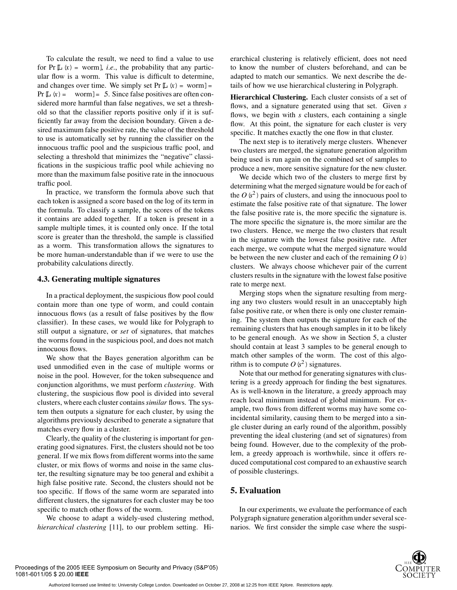To calculate the result, we need to find a value to use for  $Pr[L(x) = worm]$ , *i.e.*, the probability that any particular flow is a worm. This value is difficult to determine, and changes over time. We simply set  $Pr[L(x) = worm] =$ Pr $[L(x)] =$  worm  $] = 5$ . Since false positives are often considered more harmful than false negatives, we set a threshold so that the classifier reports positive only if it is sufficiently far away from the decision boundary. Given a desired maximum false positive rate, the value of the threshold to use is automatically set by running the classifier on the innocuous traffic pool and the suspicious traffic pool, and selecting a threshold that minimizes the "negative" classifications in the suspicious traffic pool while achieving no more than the maximum false positive rate in the innocuous traffic pool.

In practice, we transform the formula above such that each token is assigned a score based on the log of its term in the formula. To classify a sample, the scores of the tokens it contains are added together. If a token is present in a sample multiple times, it is counted only once. If the total score is greater than the threshold, the sample is classified as a worm. This transformation allows the signatures to be more human-understandable than if we were to use the probability calculations directly.

#### **4.3. Generating multiple signatures**

In a practical deployment, the suspicious flow pool could contain more than one type of worm, and could contain innocuous flows (as a result of false positives by the flow classifier). In these cases, we would like for Polygraph to still output a signature, or *set* of signatures, that matches the worms found in the suspicious pool, and does not match innocuous flows.

We show that the Bayes generation algorithm can be used unmodified even in the case of multiple worms or noise in the pool. However, for the token subsequence and conjunction algorithms, we must perform *clustering*. With clustering, the suspicious flow pool is divided into several clusters, where each cluster contains*similar* flows. The system then outputs a signature for each cluster, by using the algorithms previously described to generate a signature that matches every flow in a cluster.

Clearly, the quality of the clustering is important for generating good signatures. First, the clusters should not be too general. If we mix flows from different worms into the same cluster, or mix flows of worms and noise in the same cluster, the resulting signature may be too general and exhibit a high false positive rate. Second, the clusters should not be too specific. If flows of the same worm are separated into different clusters, the signatures for each cluster may be too specific to match other flows of the worm.

We choose to adapt a widely-used clustering method, *hierarchical clustering* [11], to our problem setting. Hierarchical clustering is relatively efficient, does not need to know the number of clusters beforehand, and can be adapted to match our semantics. We next describe the details of how we use hierarchical clustering in Polygraph.

**Hierarchical Clustering.** Each cluster consists of a set of flows, and a signature generated using that set. Given *s* flows, we begin with *s* clusters, each containing a single flow. At this point, the signature for each cluster is very specific. It matches exactly the one flow in that cluster.

The next step is to iteratively merge clusters. Whenever two clusters are merged, the signature generation algorithm being used is run again on the combined set of samples to produce a new, more sensitive signature for the new cluster.

We decide which two of the clusters to merge first by determining what the merged signature would be for each of the  $O(s^2)$  pairs of clusters, and using the innocuous pool to estimate the false positive rate of that signature. The lower the false positive rate is, the more specific the signature is. The more specific the signature is, the more similar are the two clusters. Hence, we merge the two clusters that result in the signature with the lowest false positive rate. After each merge, we compute what the merged signature would be between the new cluster and each of the remaining *O*(*s*) clusters. We always choose whichever pair of the current clusters results in the signature with the lowest false positive rate to merge next.

Merging stops when the signature resulting from merging any two clusters would result in an unacceptably high false positive rate, or when there is only one cluster remaining. The system then outputs the signature for each of the remaining clusters that has enough samples in it to be likely to be general enough. As we show in Section 5, a cluster should contain at least 3 samples to be general enough to match other samples of the worm. The cost of this algorithm is to compute  $O(s^2)$  signatures.

Note that our method for generating signatures with clustering is a greedy approach for finding the best signatures. As is well-known in the literature, a greedy approach may reach local minimum instead of global minimum. For example, two flows from different worms may have some coincidental similarity, causing them to be merged into a single cluster during an early round of the algorithm, possibly preventing the ideal clustering (and set of signatures) from being found. However, due to the complexity of the problem, a greedy approach is worthwhile, since it offers reduced computational cost compared to an exhaustive search of possible clusterings.

# **5. Evaluation**

In our experiments, we evaluate the performance of each Polygraph signature generation algorithm under several scenarios. We first consider the simple case where the suspi-

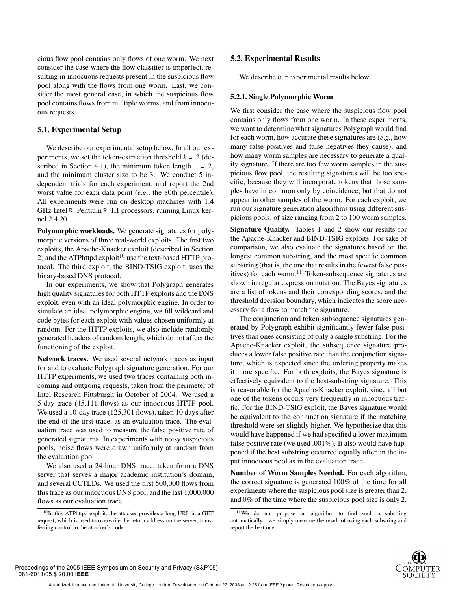cious flow pool contains only flows of one worm. We next consider the case where the flow classifier is imperfect, resulting in innocuous requests present in the suspicious flow pool along with the flows from one worm. Last, we consider the most general case, in which the suspicious flow pool contains flows from multiple worms, and from innocuous requests.

#### **5.1. Experimental Setup**

We describe our experimental setup below. In all our experiments, we set the token-extraction threshold  $k = 3$  (described in Section 4.1), the minimum token length  $= 2$ , and the minimum cluster size to be 3. We conduct 5 independent trials for each experiment, and report the 2nd worst value for each data point (*e.g.*, the 80th percentile). All experiments were run on desktop machines with 1.4 GHz Intel R Pentium R III processors, running Linux kernel 2.4.20.

**Polymorphic workloads.** We generate signatures for polymorphic versions of three real-world exploits. The first two exploits, the Apache-Knacker exploit (described in Section 2) and the ATPhttpd exploit<sup>10</sup> use the text-based HTTP protocol. The third exploit, the BIND-TSIG exploit, uses the binary-based DNS protocol.

In our experiments, we show that Polygraph generates high quality signatures for both HTTP exploits and the DNS exploit, even with an ideal polymorphic engine. In order to simulate an ideal polymorphic engine, we fill wildcard and code bytes for each exploit with values chosen uniformly at random. For the HTTP exploits, we also include randomly generated headers of random length, which do not affect the functioning of the exploit.

**Network traces.** We used several network traces as input for and to evaluate Polygraph signature generation. For our HTTP experiments, we used two traces containing both incoming and outgoing requests, taken from the perimeter of Intel Research Pittsburgh in October of 2004. We used a 5-day trace (45,111 flows) as our innocuous HTTP pool. We used a 10-day trace (125,301 flows), taken 10 days after the end of the first trace, as an evaluation trace. The evaluation trace was used to measure the false positive rate of generated signatures. In experiments with noisy suspicious pools, noise flows were drawn uniformly at random from the evaluation pool.

We also used a 24-hour DNS trace, taken from a DNS server that serves a major academic institution's domain, and several CCTLDs. We used the first 500,000 flows from this trace as our innocuous DNS pool, and the last 1,000,000 flows as our evaluation trace.

#### **5.2. Experimental Results**

We describe our experimental results below.

#### **5.2.1. Single Polymorphic Worm**

We first consider the case where the suspicious flow pool contains only flows from one worm. In these experiments, we want to determine what signatures Polygraph would find for each worm, how accurate these signatures are (*e.g.*, how many false positives and false negatives they cause), and how many worm samples are necessary to generate a quality signature. If there are too few worm samples in the suspicious flow pool, the resulting signatures will be too specific, because they will incorporate tokens that those samples have in common only by coincidence, but that do not appear in other samples of the worm. For each exploit, we run our signature generation algorithms using different suspicious pools, of size ranging from 2 to 100 worm samples.

**Signature Quality.** Tables 1 and 2 show our results for the Apache-Knacker and BIND-TSIG exploits. For sake of comparison, we also evaluate the signatures based on the longest common substring, and the most specific common substring (that is, the one that results in the fewest false positives) for each worm.<sup>11</sup> Token-subsequence signatures are shown in regular expression notation. The Bayes signatures are a list of tokens and their corresponding scores, and the threshold decision boundary, which indicates the score necessary for a flow to match the signature.

The conjunction and token-subsequence signatures generated by Polygraph exhibit significantly fewer false positives than ones consisting of only a single substring. For the Apache-Knacker exploit, the subsequence signature produces a lower false positive rate than the conjunction signature, which is expected since the ordering property makes it more specific. For both exploits, the Bayes signature is effectively equivalent to the best-substring signature. This is reasonable for the Apache-Knacker exploit, since all but one of the tokens occurs very frequently in innocuous traffic. For the BIND-TSIG exploit, the Bayes signature would be equivalent to the conjunction signature if the matching threshold were set slightly higher. We hypothesize that this would have happened if we had specified a lower maximum false positive rate (we used .001%). It also would have happened if the best substring occurred equally often in the input innocuous pool as in the evaluation trace.

**Number of Worm Samples Needed.** For each algorithm, the correct signature is generated 100% of the time for all experiments where the suspicious pool size is greater than 2, and 0% of the time where the suspicious pool size is only 2.

 $10$ In this ATPhttpd exploit, the attacker provides a long URL in a GET request, which is used to overwrite the return address on the server, transferring control to the attacker's code.

<sup>11</sup>We do not propose an algorithm to find such a substring automatically—we simply measure the result of using each substring and report the best one.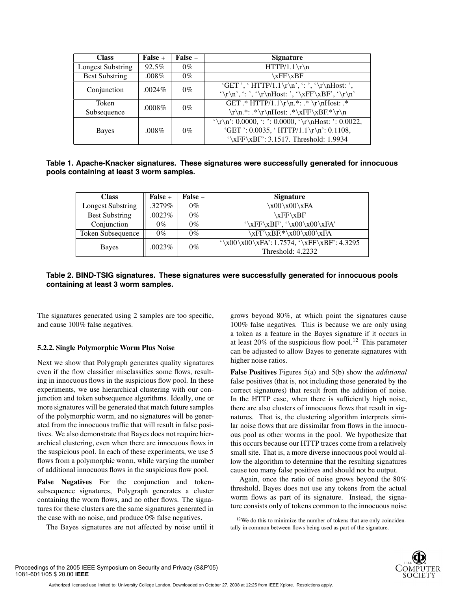| <b>Class</b>             | False +   | False – | <b>Signature</b>                                    |
|--------------------------|-----------|---------|-----------------------------------------------------|
| <b>Longest Substring</b> | 92.5%     | $0\%$   | $HTTP/1.1 \r \n\r$                                  |
| <b>Best Substring</b>    | $.008\%$  | $0\%$   | xFF\xBF                                             |
| Conjunction              | .0024\%   | $0\%$   | 'GET ', ' HTTP/1.1\r\n', ': ', '\r\nHost: ',        |
|                          |           |         | '\r\n', ': ', '\r\nHost: ', '\xFF\xBF', '\r\n'      |
| Token                    | $.0008\%$ | $0\%$   | GET .* HTTP/1.1\r\n.*: .* \r\nHost: .*              |
| Subsequence              |           |         | \r\n.*: .*\r\nHost: .*\xFF\xBF.*\r\n                |
|                          |           |         | '\r\n': 0.0000, ': ': 0.0000, '\r\nHost: ': 0.0022, |
| Bayes                    | $.008\%$  | $0\%$   | 'GET ': 0.0035, ' HTTP/1.1\r\n': 0.1108,            |
|                          |           |         | $\sqrt{\xF\xBF'}$ : 3.1517. Threshold: 1.9934       |

| Table 1. Apache-Knacker signatures. These signatures were successfully generated for innocuous |  |  |
|------------------------------------------------------------------------------------------------|--|--|
| pools containing at least 3 worm samples.                                                      |  |  |

| <b>Class</b>             | False + | False – | <b>Signature</b>                              |  |  |
|--------------------------|---------|---------|-----------------------------------------------|--|--|
| <b>Longest Substring</b> | .3279%  | $0\%$   | $x00 \x00 \xFA$                               |  |  |
| <b>Best Substring</b>    | .0023%  | $0\%$   | xFF\xBF                                       |  |  |
| Conjunction              | 0%      | $0\%$   | $\xF\xBF', \x00\x00\xFA'$                     |  |  |
| Token Subsequence        | 0%      | $0\%$   | $xFF\xBF.*\x00\x00\xFA$                       |  |  |
|                          | .0023%  | $0\%$   | $\\x00\x00\xFA$ : 1.7574, $\xFF\xBF$ : 4.3295 |  |  |
| <b>Bayes</b>             |         |         | Threshold: 4.2232                             |  |  |

# **Table 2. BIND-TSIG signatures. These signatures were successfully generated for innocuous pools containing at least 3 worm samples.**

The signatures generated using 2 samples are too specific, and cause 100% false negatives.

#### **5.2.2. Single Polymorphic Worm Plus Noise**

Next we show that Polygraph generates quality signatures even if the flow classifier misclassifies some flows, resulting in innocuous flows in the suspicious flow pool. In these experiments, we use hierarchical clustering with our conjunction and token subsequence algorithms. Ideally, one or more signatures will be generated that match future samples of the polymorphic worm, and no signatures will be generated from the innocuous traffic that will result in false positives. We also demonstrate that Bayes does not require hierarchical clustering, even when there are innocuous flows in the suspicious pool. In each of these experiments, we use 5 flows from a polymorphic worm, while varying the number of additional innocuous flows in the suspicious flow pool.

**False Negatives** For the conjunction and tokensubsequence signatures, Polygraph generates a cluster containing the worm flows, and no other flows. The signatures for these clusters are the same signatures generated in the case with no noise, and produce 0% false negatives.

The Bayes signatures are not affected by noise until it

grows beyond 80%, at which point the signatures cause 100% false negatives. This is because we are only using a token as a feature in the Bayes signature if it occurs in at least 20% of the suspicious flow pool.<sup>12</sup> This parameter can be adjusted to allow Bayes to generate signatures with higher noise ratios.

**False Positives** Figures 5(a) and 5(b) show the *additional* false positives (that is, not including those generated by the correct signatures) that result from the addition of noise. In the HTTP case, when there is sufficiently high noise, there are also clusters of innocuous flows that result in signatures. That is, the clustering algorithm interprets similar noise flows that are dissimilar from flows in the innocuous pool as other worms in the pool. We hypothesize that this occurs because our HTTP traces come from a relatively small site. That is, a more diverse innocuous pool would allow the algorithm to determine that the resulting signatures cause too many false positives and should not be output.

Again, once the ratio of noise grows beyond the 80% threshold, Bayes does not use any tokens from the actual worm flows as part of its signature. Instead, the signature consists only of tokens common to the innocuous noise

<sup>&</sup>lt;sup>12</sup>We do this to minimize the number of tokens that are only coincidentally in common between flows being used as part of the signature.

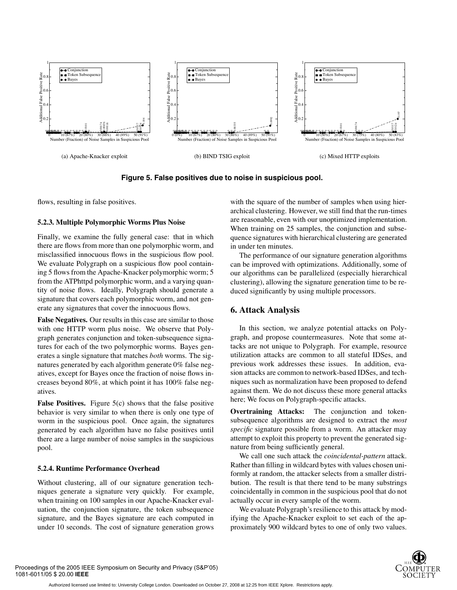

**Figure 5. False positives due to noise in suspicious pool.**

flows, resulting in false positives.

# **5.2.3. Multiple Polymorphic Worms Plus Noise**

Finally, we examine the fully general case: that in which there are flows from more than one polymorphic worm, and misclassified innocuous flows in the suspicious flow pool. We evaluate Polygraph on a suspicious flow pool containing 5 flows from the Apache-Knacker polymorphic worm; 5 from the ATPhttpd polymorphic worm, and a varying quantity of noise flows. Ideally, Polygraph should generate a signature that covers each polymorphic worm, and not generate any signatures that cover the innocuous flows.

**False Negatives.** Our results in this case are similar to those with one HTTP worm plus noise. We observe that Polygraph generates conjunction and token-subsequence signatures for each of the two polymorphic worms. Bayes generates a single signature that matches *both* worms. The signatures generated by each algorithm generate 0% false negatives, except for Bayes once the fraction of noise flows increases beyond 80%, at which point it has 100% false negatives.

**False Positives.** Figure 5(c) shows that the false positive behavior is very similar to when there is only one type of worm in the suspicious pool. Once again, the signatures generated by each algorithm have no false positives until there are a large number of noise samples in the suspicious pool.

# **5.2.4. Runtime Performance Overhead**

Without clustering, all of our signature generation techniques generate a signature very quickly. For example, when training on 100 samples in our Apache-Knacker evaluation, the conjunction signature, the token subsequence signature, and the Bayes signature are each computed in under 10 seconds. The cost of signature generation grows with the square of the number of samples when using hierarchical clustering. However, we still find that the run-times are reasonable, even with our unoptimized implementation. When training on 25 samples, the conjunction and subsequence signatures with hierarchical clustering are generated in under ten minutes.

The performance of our signature generation algorithms can be improved with optimizations. Additionally, some of our algorithms can be parallelized (especially hierarchical clustering), allowing the signature generation time to be reduced significantly by using multiple processors.

# **6. Attack Analysis**

In this section, we analyze potential attacks on Polygraph, and propose countermeasures. Note that some attacks are not unique to Polygraph. For example, resource utilization attacks are common to all stateful IDSes, and previous work addresses these issues. In addition, evasion attacks are common to network-based IDSes, and techniques such as normalization have been proposed to defend against them. We do not discuss these more general attacks here; We focus on Polygraph-specific attacks.

**Overtraining Attacks:** The conjunction and tokensubsequence algorithms are designed to extract the *most specific* signature possible from a worm. An attacker may attempt to exploit this property to prevent the generated signature from being sufficiently general.

We call one such attack the *coincidental-pattern* attack. Rather than filling in wildcard bytes with values chosen uniformly at random, the attacker selects from a smaller distribution. The result is that there tend to be many substrings coincidentally in common in the suspicious pool that do not actually occur in every sample of the worm.

We evaluate Polygraph's resilience to this attack by modifying the Apache-Knacker exploit to set each of the approximately 900 wildcard bytes to one of only two values.

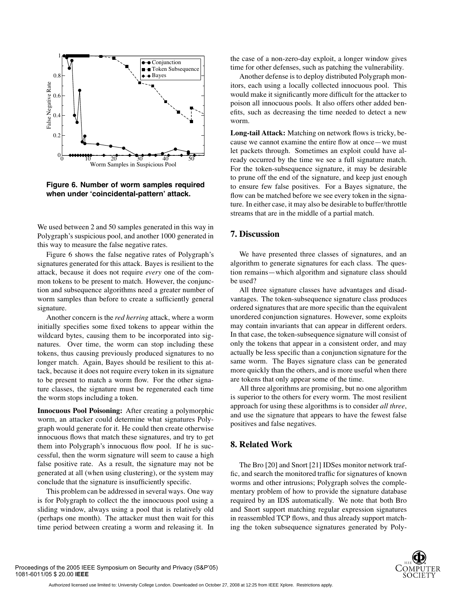

**Figure 6. Number of worm samples required when under 'coincidental-pattern' attack.**

We used between 2 and 50 samples generated in this way in Polygraph's suspicious pool, and another 1000 generated in this way to measure the false negative rates.

Figure 6 shows the false negative rates of Polygraph's signatures generated for this attack. Bayes is resilient to the attack, because it does not require *every* one of the common tokens to be present to match. However, the conjunction and subsequence algorithms need a greater number of worm samples than before to create a sufficiently general signature.

Another concern is the *red herring* attack, where a worm initially specifies some fixed tokens to appear within the wildcard bytes, causing them to be incorporated into signatures. Over time, the worm can stop including these tokens, thus causing previously produced signatures to no longer match. Again, Bayes should be resilient to this attack, because it does not require every token in its signature to be present to match a worm flow. For the other signature classes, the signature must be regenerated each time the worm stops including a token.

**Innocuous Pool Poisoning:** After creating a polymorphic worm, an attacker could determine what signatures Polygraph would generate for it. He could then create otherwise innocuous flows that match these signatures, and try to get them into Polygraph's innocuous flow pool. If he is successful, then the worm signature will seem to cause a high false positive rate. As a result, the signature may not be generated at all (when using clustering), or the system may conclude that the signature is insufficiently specific.

This problem can be addressed in several ways. One way is for Polygraph to collect the the innocuous pool using a sliding window, always using a pool that is relatively old (perhaps one month). The attacker must then wait for this time period between creating a worm and releasing it. In the case of a non-zero-day exploit, a longer window gives time for other defenses, such as patching the vulnerability.

Another defense is to deploy distributed Polygraph monitors, each using a locally collected innocuous pool. This would make it significantly more difficult for the attacker to poison all innocuous pools. It also offers other added benefits, such as decreasing the time needed to detect a new worm.

**Long-tail Attack:** Matching on network flows is tricky, because we cannot examine the entire flow at once—we must let packets through. Sometimes an exploit could have already occurred by the time we see a full signature match. For the token-subsequence signature, it may be desirable to prune off the end of the signature, and keep just enough to ensure few false positives. For a Bayes signature, the flow can be matched before we see every token in the signature. In either case, it may also be desirable to buffer/throttle streams that are in the middle of a partial match.

# **7. Discussion**

We have presented three classes of signatures, and an algorithm to generate signatures for each class. The question remains—which algorithm and signature class should be used?

All three signature classes have advantages and disadvantages. The token-subsequence signature class produces ordered signatures that are more specific than the equivalent unordered conjunction signatures. However, some exploits may contain invariants that can appear in different orders. In that case, the token-subsequence signature will consist of only the tokens that appear in a consistent order, and may actually be less specific than a conjunction signature for the same worm. The Bayes signature class can be generated more quickly than the others, and is more useful when there are tokens that only appear some of the time.

All three algorithms are promising, but no one algorithm is superior to the others for every worm. The most resilient approach for using these algorithms is to consider *all three*, and use the signature that appears to have the fewest false positives and false negatives.

### **8. Related Work**

The Bro [20] and Snort [21] IDSes monitor network traffic, and search the monitored traffic for signatures of known worms and other intrusions; Polygraph solves the complementary problem of how to provide the signature database required by an IDS automatically. We note that both Bro and Snort support matching regular expression signatures in reassembled TCP flows, and thus already support matching the token subsequence signatures generated by Poly-

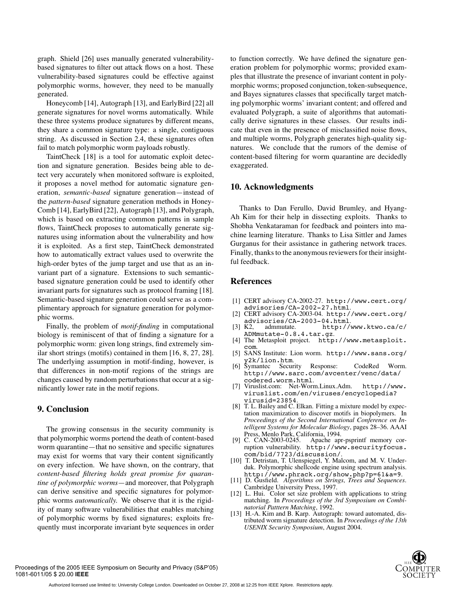graph. Shield [26] uses manually generated vulnerabilitybased signatures to filter out attack flows on a host. These vulnerability-based signatures could be effective against polymorphic worms, however, they need to be manually generated.

Honeycomb [14], Autograph [13], and EarlyBird [22] all generate signatures for novel worms automatically. While these three systems produce signatures by different means, they share a common signature type: a single, contiguous string. As discussed in Section 2.4, these signatures often fail to match polymorphic worm payloads robustly.

TaintCheck [18] is a tool for automatic exploit detection and signature generation. Besides being able to detect very accurately when monitored software is exploited, it proposes a novel method for automatic signature generation, *semantic-based* signature generation—instead of the *pattern-based* signature generation methods in Honey-Comb [14], EarlyBird [22], Autograph [13], and Polygraph, which is based on extracting common patterns in sample flows, TaintCheck proposes to automatically generate signatures using information about the vulnerability and how it is exploited. As a first step, TaintCheck demonstrated how to automatically extract values used to overwrite the high-order bytes of the jump target and use that as an invariant part of a signature. Extensions to such semanticbased signature generation could be used to identify other invariant parts for signatures such as protocol framing [18]. Semantic-based signature generation could serve as a complimentary approach for signature generation for polymorphic worms.

Finally, the problem of *motif-finding* in computational biology is reminiscent of that of finding a signature for a polymorphic worm: given long strings, find extremely similar short strings (motifs) contained in them [16, 8, 27, 28]. The underlying assumption in motif-finding, however, is that differences in non-motif regions of the strings are changes caused by random perturbations that occur at a significantly lower rate in the motif regions.

#### **9. Conclusion**

The growing consensus in the security community is that polymorphic worms portend the death of content-based worm quarantine—that no sensitive and specific signatures may exist for worms that vary their content significantly on every infection. We have shown, on the contrary, that *content-based filtering holds great promise for quarantine of polymorphic worms*—and moreover, that Polygraph can derive sensitive and specific signatures for polymorphic worms *automatically.* We observe that it is the rigidity of many software vulnerabilities that enables matching of polymorphic worms by fixed signatures; exploits frequently must incorporate invariant byte sequences in order

to function correctly. We have defined the signature generation problem for polymorphic worms; provided examples that illustrate the presence of invariant content in polymorphic worms; proposed conjunction, token-subsequence, and Bayes signatures classes that specifically target matching polymorphic worms' invariant content; and offered and evaluated Polygraph, a suite of algorithms that automatically derive signatures in these classes. Our results indicate that even in the presence of misclassified noise flows, and multiple worms, Polygraph generates high-quality signatures. We conclude that the rumors of the demise of content-based filtering for worm quarantine are decidedly exaggerated.

#### **10. Acknowledgments**

Thanks to Dan Ferullo, David Brumley, and Hyang-Ah Kim for their help in dissecting exploits. Thanks to Shobha Venkataraman for feedback and pointers into machine learning literature. Thanks to Lisa Sittler and James Gurganus for their assistance in gathering network traces. Finally, thanks to the anonymous reviewers for their insightful feedback.

### **References**

- [1] CERT advisory CA-2002-27. http://www.cert.org/
- [2] CERT advisory CA-2003-04. http://www.cert.org/<br>advisories/CA-2003-04.html.
- [3] K2, admmutate. http://www.ktwo.ca/c/
- ADMmutate-0.8.4.tar.gz. [4] The Metasploit project. http://www.metasploit. com. [5] SANS Institute: Lion worm. http://www.sans.org/
- y2k/lion.htm.<br>
[6] Symantec Security Response: CodeRed Worm.
- http://www.sarc.com/avcenter/venc/data/ codered.worm.html. [7] Viruslist.com: Net-Worm.Linux.Adm. http://www.
- viruslist.com/en/viruses/encyclopedia?
- virusid=23854. [8] T. L. Bailey and C. Elkan. Fitting a mixture model by expectation maximization to discover motifs in biopolymers. In *Proceedings of the Second International Conference on Intelligent Systems for Molecular Biology*, pages 28–36. AAAI Press, Menlo Park, California, 1994.<br>[9] C. CAN-2003-0245. Apache ap:
- Apache apr-psprintf memory corruption vulnerability. http://www.securityfocus.com/bid/7723/discussion/.
- [10] T. Detristan, T. Ulenspiegel, Y. Malcom, and M. V. Underduk. Polymorphic shellcode engine using spectrum analysis.
- http://www.phrack.org/show.php?p=61&a=9. [11] D. Gusfield. *Algorithms on Strings, Trees and Sequences*. Cambridge University Press, 1997.
- [12] L. Hui. Color set size problem with applications to string matching. In *Proceedings of the 3rd Symposium on Combinatorial Patttern Matching*, 1992.
- [13] H.-A. Kim and B. Karp. Autograph: toward automated, distributed worm signature detection. In *Proceedings of the 13th USENIX Security Symposium*, August 2004.